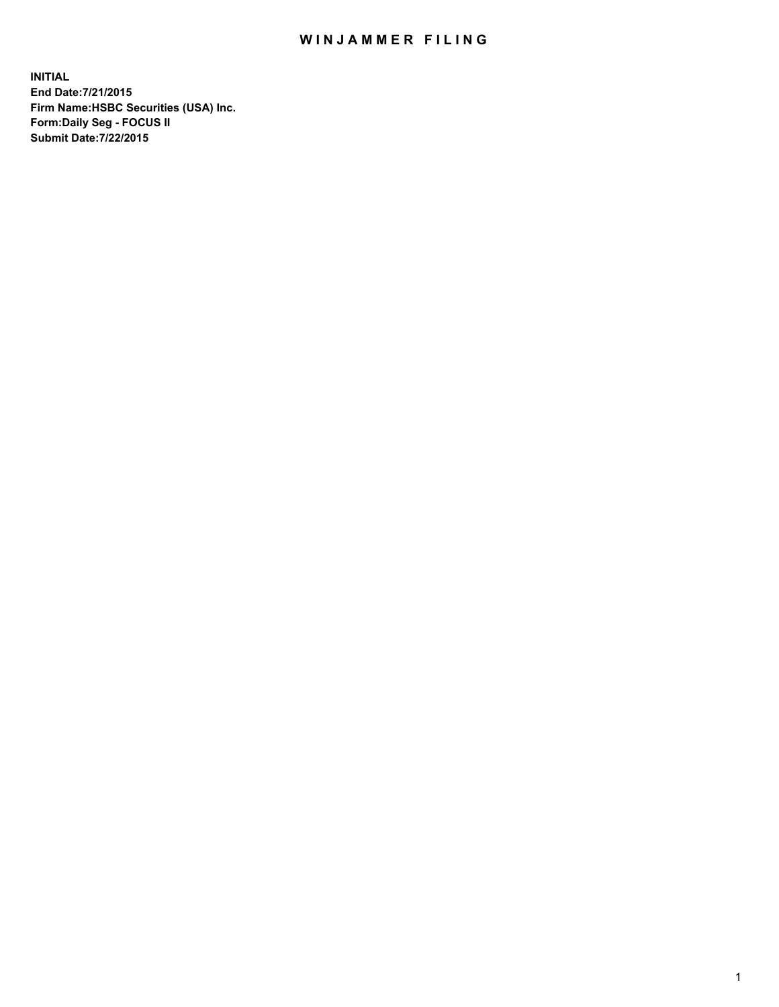## WIN JAMMER FILING

**INITIAL End Date:7/21/2015 Firm Name:HSBC Securities (USA) Inc. Form:Daily Seg - FOCUS II Submit Date:7/22/2015**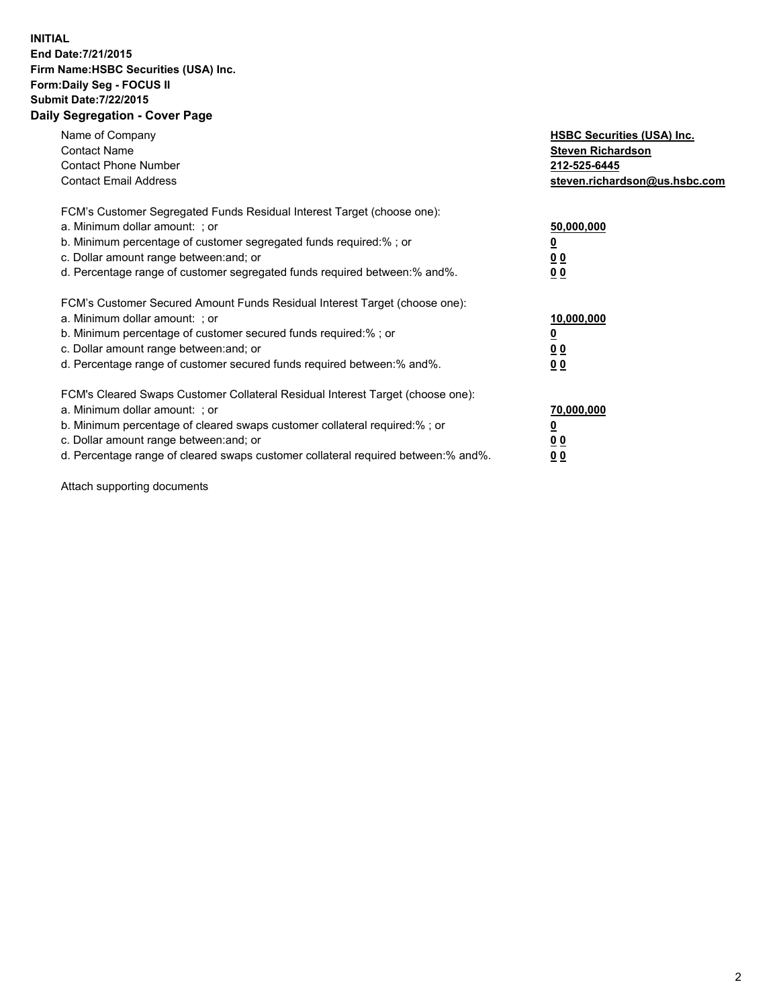## **INITIAL End Date:7/21/2015 Firm Name:HSBC Securities (USA) Inc. Form:Daily Seg - FOCUS II Submit Date:7/22/2015 Daily Segregation - Cover Page**

| Name of Company<br><b>Contact Name</b><br><b>Contact Phone Number</b><br><b>Contact Email Address</b>                                                                                                                                                                                                                         | <b>HSBC Securities (USA) Inc.</b><br><b>Steven Richardson</b><br>212-525-6445<br>steven.richardson@us.hsbc.com |
|-------------------------------------------------------------------------------------------------------------------------------------------------------------------------------------------------------------------------------------------------------------------------------------------------------------------------------|----------------------------------------------------------------------------------------------------------------|
| FCM's Customer Segregated Funds Residual Interest Target (choose one):<br>a. Minimum dollar amount: ; or<br>b. Minimum percentage of customer segregated funds required:% ; or<br>c. Dollar amount range between: and; or<br>d. Percentage range of customer segregated funds required between: % and %.                      | 50,000,000<br>0 <sub>0</sub><br>0 <sub>0</sub>                                                                 |
| FCM's Customer Secured Amount Funds Residual Interest Target (choose one):<br>a. Minimum dollar amount: ; or<br>b. Minimum percentage of customer secured funds required:%; or<br>c. Dollar amount range between: and; or<br>d. Percentage range of customer secured funds required between:% and%.                           | 10,000,000<br>0 <sub>0</sub><br>00                                                                             |
| FCM's Cleared Swaps Customer Collateral Residual Interest Target (choose one):<br>a. Minimum dollar amount: ; or<br>b. Minimum percentage of cleared swaps customer collateral required:%; or<br>c. Dollar amount range between: and; or<br>d. Percentage range of cleared swaps customer collateral required between:% and%. | 70,000,000<br>0 <sub>0</sub><br>00                                                                             |

Attach supporting documents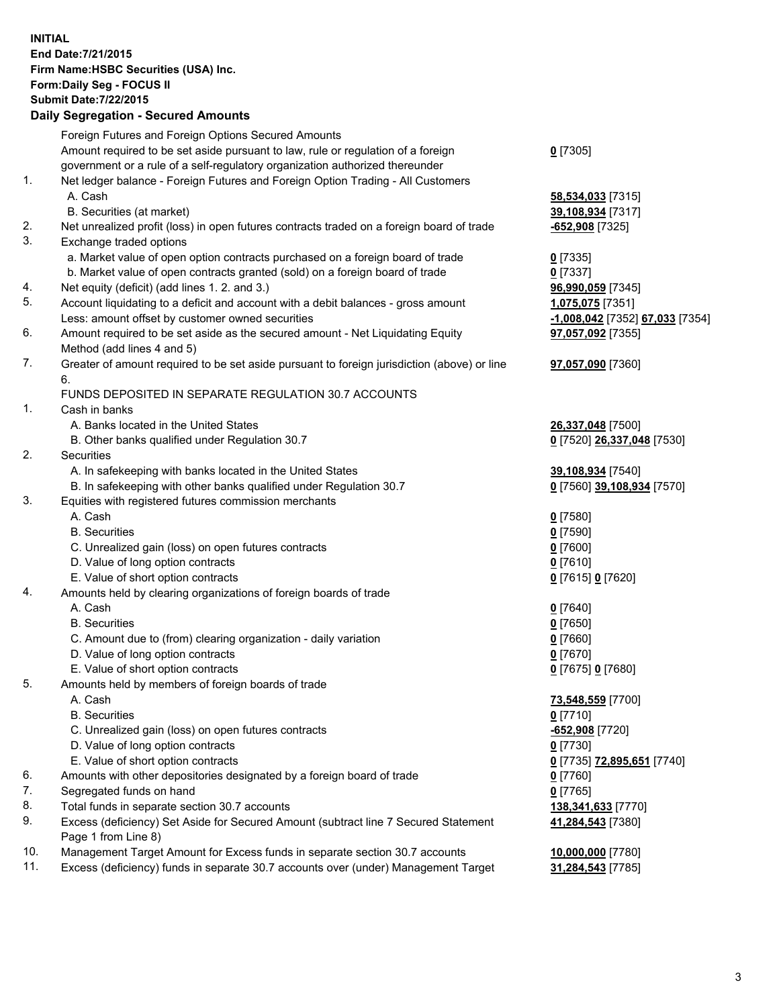**INITIAL End Date:7/21/2015 Firm Name:HSBC Securities (USA) Inc. Form:Daily Seg - FOCUS II Submit Date:7/22/2015 Daily Segregation - Secured Amounts**

|                | Daily Jegregation - Jeculed Aniounts                                                        |                                 |
|----------------|---------------------------------------------------------------------------------------------|---------------------------------|
|                | Foreign Futures and Foreign Options Secured Amounts                                         |                                 |
|                | Amount required to be set aside pursuant to law, rule or regulation of a foreign            | $0$ [7305]                      |
|                | government or a rule of a self-regulatory organization authorized thereunder                |                                 |
| 1 <sub>1</sub> | Net ledger balance - Foreign Futures and Foreign Option Trading - All Customers             |                                 |
|                | A. Cash                                                                                     | 58,534,033 [7315]               |
|                | B. Securities (at market)                                                                   | 39,108,934 [7317]               |
| 2.             | Net unrealized profit (loss) in open futures contracts traded on a foreign board of trade   | -652,908 [7325]                 |
| 3.             | Exchange traded options                                                                     |                                 |
|                | a. Market value of open option contracts purchased on a foreign board of trade              | $0$ [7335]                      |
|                | b. Market value of open contracts granted (sold) on a foreign board of trade                | $0$ [7337]                      |
| 4.             | Net equity (deficit) (add lines 1. 2. and 3.)                                               | 96,990,059 [7345]               |
| 5.             | Account liquidating to a deficit and account with a debit balances - gross amount           | 1,075,075 [7351]                |
|                | Less: amount offset by customer owned securities                                            | -1,008,042 [7352] 67,033 [7354] |
| 6.             | Amount required to be set aside as the secured amount - Net Liquidating Equity              | 97,057,092 [7355]               |
|                | Method (add lines 4 and 5)                                                                  |                                 |
| 7.             | Greater of amount required to be set aside pursuant to foreign jurisdiction (above) or line | 97,057,090 [7360]               |
|                | 6.                                                                                          |                                 |
|                | FUNDS DEPOSITED IN SEPARATE REGULATION 30.7 ACCOUNTS                                        |                                 |
| 1.             | Cash in banks                                                                               |                                 |
|                | A. Banks located in the United States                                                       | 26,337,048 [7500]               |
|                | B. Other banks qualified under Regulation 30.7                                              | 0 [7520] 26,337,048 [7530]      |
| 2.             | Securities                                                                                  |                                 |
|                | A. In safekeeping with banks located in the United States                                   | 39,108,934 [7540]               |
|                | B. In safekeeping with other banks qualified under Regulation 30.7                          | 0 [7560] 39,108,934 [7570]      |
| 3.             | Equities with registered futures commission merchants                                       |                                 |
|                | A. Cash                                                                                     | $0$ [7580]                      |
|                | <b>B.</b> Securities                                                                        | $0$ [7590]                      |
|                | C. Unrealized gain (loss) on open futures contracts                                         | $0$ [7600]                      |
|                | D. Value of long option contracts                                                           | $0$ [7610]                      |
|                | E. Value of short option contracts                                                          | 0 [7615] 0 [7620]               |
| 4.             | Amounts held by clearing organizations of foreign boards of trade                           |                                 |
|                | A. Cash                                                                                     | $0$ [7640]                      |
|                | <b>B.</b> Securities                                                                        | $0$ [7650]                      |
|                | C. Amount due to (from) clearing organization - daily variation                             | $0$ [7660]                      |
|                | D. Value of long option contracts                                                           | $0$ [7670]                      |
|                | E. Value of short option contracts                                                          | 0 [7675] 0 [7680]               |
| 5.             | Amounts held by members of foreign boards of trade                                          |                                 |
|                | A. Cash                                                                                     | 73,548,559 [7700]               |
|                | <b>B.</b> Securities                                                                        | $0$ [7710]                      |
|                | C. Unrealized gain (loss) on open futures contracts                                         | -652,908 [7720]                 |
|                | D. Value of long option contracts                                                           | $0$ [7730]                      |
|                | E. Value of short option contracts                                                          | 0 [7735] 72,895,651 [7740]      |
| 6.             | Amounts with other depositories designated by a foreign board of trade                      | $0$ [7760]                      |
| 7.             | Segregated funds on hand                                                                    | $0$ [7765]                      |
| 8.             | Total funds in separate section 30.7 accounts                                               | 138,341,633 [7770]              |
| 9.             | Excess (deficiency) Set Aside for Secured Amount (subtract line 7 Secured Statement         |                                 |
|                | Page 1 from Line 8)                                                                         | 41,284,543 [7380]               |
| 10.            | Management Target Amount for Excess funds in separate section 30.7 accounts                 |                                 |
| 11.            | Excess (deficiency) funds in separate 30.7 accounts over (under) Management Target          | 10,000,000 [7780]               |
|                |                                                                                             | 31,284,543 [7785]               |
|                |                                                                                             |                                 |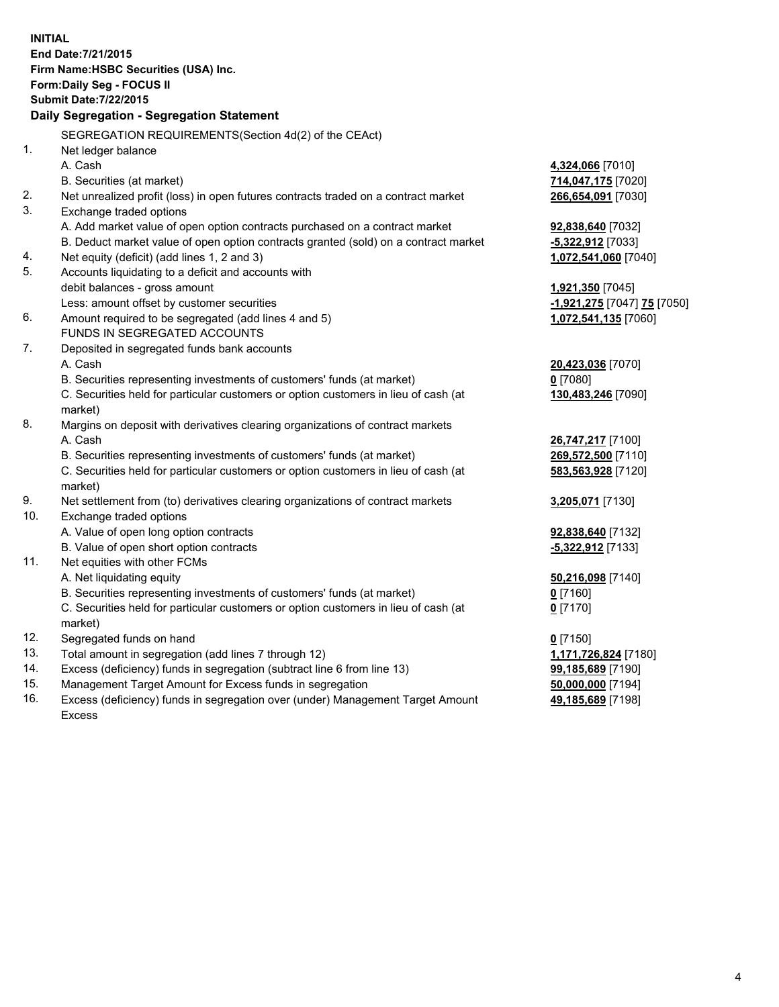|     | <b>INITIAL</b><br>End Date: 7/21/2015<br>Firm Name: HSBC Securities (USA) Inc.<br>Form: Daily Seg - FOCUS II<br><b>Submit Date: 7/22/2015</b><br>Daily Segregation - Segregation Statement<br>SEGREGATION REQUIREMENTS(Section 4d(2) of the CEAct) |                             |
|-----|----------------------------------------------------------------------------------------------------------------------------------------------------------------------------------------------------------------------------------------------------|-----------------------------|
| 1.  | Net ledger balance                                                                                                                                                                                                                                 |                             |
|     | A. Cash                                                                                                                                                                                                                                            | 4,324,066 [7010]            |
| 2.  | B. Securities (at market)<br>Net unrealized profit (loss) in open futures contracts traded on a contract market                                                                                                                                    | 714,047,175 [7020]          |
| 3.  | Exchange traded options                                                                                                                                                                                                                            | 266,654,091 [7030]          |
|     | A. Add market value of open option contracts purchased on a contract market                                                                                                                                                                        | 92,838,640 [7032]           |
|     | B. Deduct market value of open option contracts granted (sold) on a contract market                                                                                                                                                                | -5,322,912 [7033]           |
| 4.  | Net equity (deficit) (add lines 1, 2 and 3)                                                                                                                                                                                                        | 1,072,541,060 [7040]        |
| 5.  | Accounts liquidating to a deficit and accounts with                                                                                                                                                                                                |                             |
|     | debit balances - gross amount                                                                                                                                                                                                                      | 1,921,350 [7045]            |
|     | Less: amount offset by customer securities                                                                                                                                                                                                         | -1,921,275 [7047] 75 [7050] |
| 6.  | Amount required to be segregated (add lines 4 and 5)                                                                                                                                                                                               | 1,072,541,135 [7060]        |
|     | FUNDS IN SEGREGATED ACCOUNTS                                                                                                                                                                                                                       |                             |
| 7.  | Deposited in segregated funds bank accounts                                                                                                                                                                                                        |                             |
|     | A. Cash                                                                                                                                                                                                                                            | 20,423,036 [7070]           |
|     | B. Securities representing investments of customers' funds (at market)                                                                                                                                                                             | $0$ [7080]                  |
|     | C. Securities held for particular customers or option customers in lieu of cash (at<br>market)                                                                                                                                                     | 130,483,246 [7090]          |
| 8.  | Margins on deposit with derivatives clearing organizations of contract markets                                                                                                                                                                     |                             |
|     | A. Cash                                                                                                                                                                                                                                            | 26,747,217 [7100]           |
|     | B. Securities representing investments of customers' funds (at market)                                                                                                                                                                             | 269,572,500 [7110]          |
|     | C. Securities held for particular customers or option customers in lieu of cash (at<br>market)                                                                                                                                                     | 583,563,928 [7120]          |
| 9.  | Net settlement from (to) derivatives clearing organizations of contract markets                                                                                                                                                                    | 3,205,071 [7130]            |
| 10. | Exchange traded options                                                                                                                                                                                                                            |                             |
|     | A. Value of open long option contracts                                                                                                                                                                                                             | 92,838,640 [7132]           |
|     | B. Value of open short option contracts                                                                                                                                                                                                            | -5,322,912 [7133]           |
| 11. | Net equities with other FCMs                                                                                                                                                                                                                       |                             |
|     | A. Net liquidating equity                                                                                                                                                                                                                          | 50,216,098 [7140]           |
|     | B. Securities representing investments of customers' funds (at market)                                                                                                                                                                             | 0 [7160]                    |
|     | C. Securities held for particular customers or option customers in lieu of cash (at<br>market)                                                                                                                                                     | $0$ [7170]                  |
| 12. | Segregated funds on hand                                                                                                                                                                                                                           | $0$ [7150]                  |
| 13. | Total amount in segregation (add lines 7 through 12)                                                                                                                                                                                               | 1,171,726,824 [7180]        |
| 14. | Excess (deficiency) funds in segregation (subtract line 6 from line 13)                                                                                                                                                                            | 99,185,689 [7190]           |
| 15. | Management Target Amount for Excess funds in segregation                                                                                                                                                                                           | 50,000,000 [7194]           |
| 16. | Excess (deficiency) funds in segregation over (under) Management Target Amount<br><b>Excess</b>                                                                                                                                                    | 49,185,689 [7198]           |
|     |                                                                                                                                                                                                                                                    |                             |